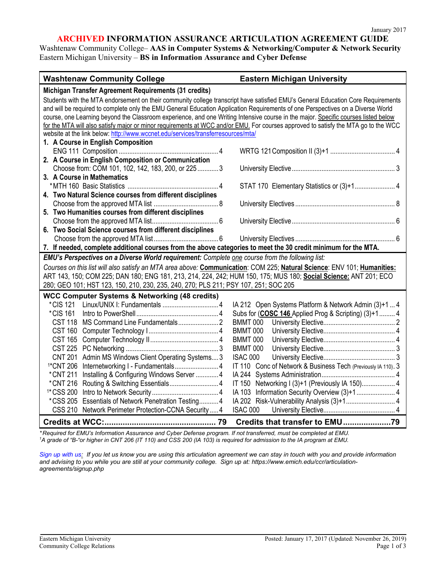#### **ARCHIVED INFORMATION ASSURANCE ARTICULATION AGREEMENT GUIDE**

Washtenaw Community College– **AAS in Computer Systems & Networking/Computer & Network Security** Eastern Michigan University – **BS in Information Assurance and Cyber Defense**

| <b>Washtenaw Community College</b>                                                                                                                                                                                | <b>Eastern Michigan University</b>                            |
|-------------------------------------------------------------------------------------------------------------------------------------------------------------------------------------------------------------------|---------------------------------------------------------------|
| Michigan Transfer Agreement Requirements (31 credits)                                                                                                                                                             |                                                               |
| Students with the MTA endorsement on their community college transcript have satisfied EMU's General Education Core Requirements                                                                                  |                                                               |
| and will be required to complete only the EMU General Education Application Requirements of one Perspectives on a Diverse World                                                                                   |                                                               |
| course, one Learning beyond the Classroom experience, and one Writing Intensive course in the major. Specific courses listed below                                                                                |                                                               |
| for the MTA will also satisfy major or minor requirements at WCC and/or EMU. For courses approved to satisfy the MTA go to the WCC                                                                                |                                                               |
| website at the link below: http://www.wccnet.edu/services/transferresources/mta/                                                                                                                                  |                                                               |
| 1. A Course in English Composition                                                                                                                                                                                |                                                               |
|                                                                                                                                                                                                                   |                                                               |
| 2. A Course in English Composition or Communication                                                                                                                                                               |                                                               |
| Choose from: COM 101, 102, 142, 183, 200, or 225  3                                                                                                                                                               |                                                               |
| 3. A Course in Mathematics                                                                                                                                                                                        |                                                               |
|                                                                                                                                                                                                                   | STAT 170 Elementary Statistics or (3)+1 4                     |
| 4. Two Natural Science courses from different disciplines                                                                                                                                                         |                                                               |
| 5. Two Humanities courses from different disciplines                                                                                                                                                              |                                                               |
|                                                                                                                                                                                                                   |                                                               |
| 6. Two Social Science courses from different disciplines                                                                                                                                                          |                                                               |
|                                                                                                                                                                                                                   |                                                               |
|                                                                                                                                                                                                                   |                                                               |
| 7. If needed, complete additional courses from the above categories to meet the 30 credit minimum for the MTA.<br>EMU's Perspectives on a Diverse World requirement: Complete one course from the following list: |                                                               |
| Courses on this list will also satisfy an MTA area above: Communication: COM 225; Natural Science: ENV 101; Humanities:                                                                                           |                                                               |
| ART 143, 150; COM 225; DAN 180; ENG 181, 213, 214, 224, 242; HUM 150, 175; MUS 180; Social Science: ANT 201; ECO                                                                                                  |                                                               |
| 280; GEO 101; HST 123, 150, 210, 230, 235, 240, 270; PLS 211; PSY 107, 251; SOC 205                                                                                                                               |                                                               |
| <b>WCC Computer Systems &amp; Networking (48 credits)</b>                                                                                                                                                         |                                                               |
| *CIS 121                                                                                                                                                                                                          | IA 212 Open Systems Platform & Network Admin (3)+1  4         |
| *CIS 161                                                                                                                                                                                                          | Subs for (COSC 146 Applied Prog & Scripting) (3)+1  4         |
| <b>CST 118</b>                                                                                                                                                                                                    | BMMT 000                                                      |
|                                                                                                                                                                                                                   | <b>BMMT 000</b>                                               |
|                                                                                                                                                                                                                   | <b>BMMT 000</b>                                               |
|                                                                                                                                                                                                                   | <b>BMMT 000</b>                                               |
| Admin MS Windows Client Operating Systems 3<br><b>CNT 201</b>                                                                                                                                                     | ISAC 000                                                      |
| <sup>1*</sup> CNT 206                                                                                                                                                                                             | IT 110 Conc of Network & Business Tech (Previously IA 110). 3 |
| Installing & Configuring Windows Server  4<br>*CNT 211                                                                                                                                                            |                                                               |
| *CNT 216                                                                                                                                                                                                          | IT 150 Networking I (3)+1 (Previously IA 150) 4               |
| <sup>1*</sup> CSS 200                                                                                                                                                                                             |                                                               |
| *CSS 205<br>Essentials of Network Penetration Testing 4                                                                                                                                                           |                                                               |
| CSS 210 Network Perimeter Protection-CCNA Security  4                                                                                                                                                             | ISAC 000                                                      |
|                                                                                                                                                                                                                   | Credits that transfer to EMU79                                |

*\* Required for EMU's Information Assurance and Cyber Defense program. If not transferred, must be completed at EMU. 1 A grade of "B-"or higher in CNT 206 (IT 110) and CSS 200 (IA 103) is required for admission to the IA program at EMU.*

*[Sign up with us:](https://www.emich.edu/ccr/articulation-agreements/signup.php) If you let us know you are using this articulation agreement we can stay in touch with you and provide information and advising to you while you are still at your community college. Sign up at: https://www.emich.edu/ccr/articulationagreements/signup.php*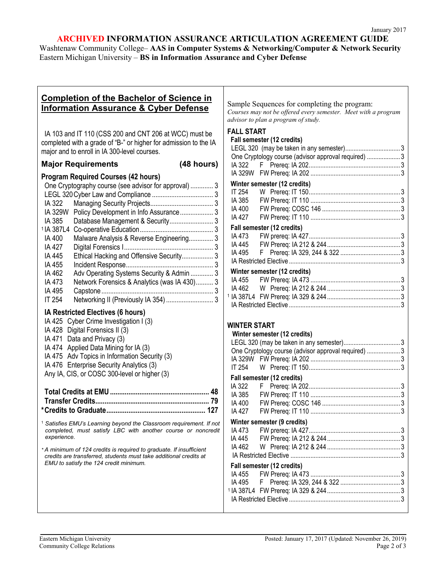# **ARCHIVED INFORMATION ASSURANCE ARTICULATION AGREEMENT GUIDE**

Washtenaw Community College– **AAS in Computer Systems & Networking/Computer & Network Security** Eastern Michigan University – **BS in Information Assurance and Cyber Defense**

#### **Completion of the Bachelor of Science in Information Assurance & Cyber Defense** IA 103 and IT 110 (CSS 200 and CNT 206 at WCC) must be completed with a grade of "B-" or higher for admission to the IA major and to enroll in IA 300-level courses. **Major Requirements (48 hours) Program Required Courses (42 hours)** One Cryptography course (see advisor for approval) ............. 3 LEGL 320Cyber Law and Compliance ................................... 3 IA 322 Managing Security Projects.................................... 3 IA 329W Policy Development in Info Assurance................... 3 IA 385 Database Management & Security......................... 3 <sup>1</sup> IA 387L4 Co-operative Education.......................................... 3 IA 400 Malware Analysis & Reverse Engineering.............. 3 IA 427 Digital Forensics I................................................... 3 IA 445 Ethical Hacking and Offensive Security.................. 3 IA 455 Incident Response.................................................. 3 IA 462 Adv Operating Systems Security & Admin ............. 3 IA 473 Network Forensics & Analytics (was IA 430).......... 3 IA 495 Capstone................................................................ 3 IT 254 Networking II (Previously IA 354)........................... 3 **IA Restricted Electives (6 hours)** IA 425 Cyber Crime Investigation I (3) IA 428 Digital Forensics II (3) IA 471 Data and Privacy (3) IA 474 Applied Data Mining for IA (3) IA 475 Adv Topics in Information Security (3) IA 476 Enterprise Security Analytics (3) Any IA, CIS, or COSC 300-level or higher (3) **Total Credits at EMU...................................................... 48 Transfer Credits.............................................................. 79 \*Credits to Graduate...................................................... 127** <sup>1</sup> *Satisfies EMU's Learning beyond the Classroom requirement. If not completed, must satisfy LBC with another course or noncredit experience. \* A minimum of 124 credits is required to graduate. If insufficient credits are transferred, students must take additional credits at EMU to satisfy the 124 credit minimum.* Sample Sequences for completing the program: *Courses may not be offered every semester. Meet with a program advisor to plan a program of study.* **FALL START Fall semester (12 credits)** LEGL 320 (may be taken in any semester)................................. 3 One Cryptology course (advisor approval required) .................... 3 IA 322 F Prereq: IA 202....................................................... 3 IA 329W FW Prereq: IA 202 ...................................................... 3 **Winter semester (12 credits)** IT 254 W Prereq: IT 150....................................................... 3 IA 385 FW Prereq: IT 110 ...................................................... 3 IA 400 FW Prereq: COSC 146 ............................................... 3 IA 427 FW Prereq: IT 110 ...................................................... 3 **Fall semester (12 credits)** IA 473 FW prereq: IA 427....................................................... 3 IA 445 FW Prereq: IA 212 & 244............................................ 3 IA 495 F Prereq: IA 329, 244 & 322 .................................... 3 IA Restricted Elective ................................................................... 3 **Winter semester (12 credits)** IA 455 FW Prereq: IA 473 ...................................................... 3 IA 462 W Prereq: IA 212 & 244 ............................................ 3 <sup>1</sup> IA 387L4 FW Prereq: IA 329 & 244............................................ 3 IA Restricted Elective ................................................................... 3 **WINTER START Winter semester (12 credits)** LEGL 320 (may be taken in any semester).................................. 3 One Cryptology course (advisor approval required) .................... 3 IA 329W FW Prereq: IA 202 ...................................................... 3 IT 254 W Prereq: IT 150....................................................... 3 **Fall semester (12 credits)** IA 322 F Prereq: IA 202....................................................... 3 IA 385 FW Prereq: IT 110 ...................................................... 3 IA 400 FW Prereq: COSC 146 ............................................... 3 IA 427 FW Prereq: IT 110 ...................................................... 3 **Winter semester (9 credits)** IA 473 FW prereq: IA 427....................................................... 3 IA 445 FW Prereq: IA 212 & 244............................................ 3 IA 462 W Prereq: IA 212 & 244 ............................................ 3 IA Restricted Elective .................................................................. 3 **Fall semester (12 credits)** IA 455 FW Prereq: IA 473 ...................................................... 3 IA 495 F Prereq: IA 329, 244 & 322 .................................... 3 <sup>1</sup> IA 387L4 FW Prereq: IA 329 & 244............................................ 3 IA Restricted Elective ................................................................... 3